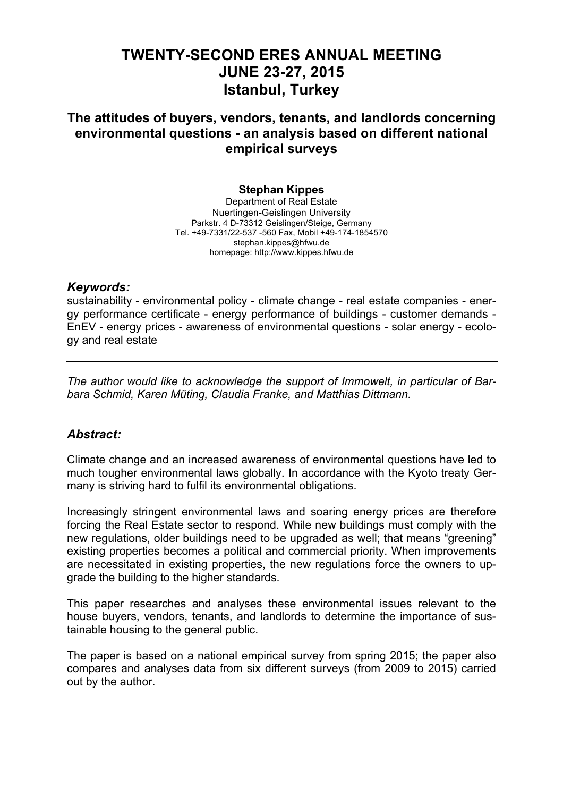# **TWENTY-SECOND ERES ANNUAL MEETING JUNE 23-27, 2015 Istanbul, Turkey**

# **The attitudes of buyers, vendors, tenants, and landlords concerning environmental questions - an analysis based on different national empirical surveys**

# **Stephan Kippes**

Department of Real Estate Nuertingen-Geislingen University Parkstr. 4 D-73312 Geislingen/Steige, Germany Tel. +49-7331/22-537 -560 Fax, Mobil +49-174-1854570 stephan.kippes@hfwu.de homepage: http://www.kippes.hfwu.de

#### *Keywords:*

sustainability - environmental policy - climate change - real estate companies - energy performance certificate - energy performance of buildings - customer demands - EnEV - energy prices - awareness of environmental questions - solar energy - ecology and real estate

*The author would like to acknowledge the support of Immowelt, in particular of Barbara Schmid, Karen Müting, Claudia Franke, and Matthias Dittmann.*

# *Abstract:*

Climate change and an increased awareness of environmental questions have led to much tougher environmental laws globally. In accordance with the Kyoto treaty Germany is striving hard to fulfil its environmental obligations.

Increasingly stringent environmental laws and soaring energy prices are therefore forcing the Real Estate sector to respond. While new buildings must comply with the new regulations, older buildings need to be upgraded as well; that means "greening" existing properties becomes a political and commercial priority. When improvements are necessitated in existing properties, the new regulations force the owners to upgrade the building to the higher standards.

This paper researches and analyses these environmental issues relevant to the house buyers, vendors, tenants, and landlords to determine the importance of sustainable housing to the general public.

The paper is based on a national empirical survey from spring 2015; the paper also compares and analyses data from six different surveys (from 2009 to 2015) carried out by the author.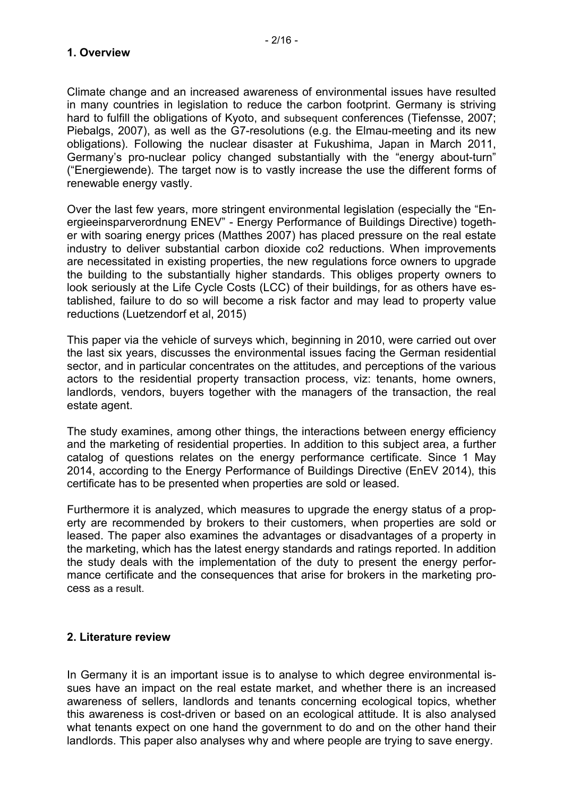Climate change and an increased awareness of environmental issues have resulted in many countries in legislation to reduce the carbon footprint. Germany is striving hard to fulfill the obligations of Kyoto, and subsequent conferences (Tiefensse, 2007; Piebalgs, 2007), as well as the G7-resolutions (e.g. the Elmau-meeting and its new obligations). Following the nuclear disaster at Fukushima, Japan in March 2011, Germany's pro-nuclear policy changed substantially with the "energy about-turn" ("Energiewende). The target now is to vastly increase the use the different forms of renewable energy vastly.

Over the last few years, more stringent environmental legislation (especially the "Energieeinsparverordnung ENEV" - Energy Performance of Buildings Directive) together with soaring energy prices (Matthes 2007) has placed pressure on the real estate industry to deliver substantial carbon dioxide co2 reductions. When improvements are necessitated in existing properties, the new regulations force owners to upgrade the building to the substantially higher standards. This obliges property owners to look seriously at the Life Cycle Costs (LCC) of their buildings, for as others have established, failure to do so will become a risk factor and may lead to property value reductions (Luetzendorf et al, 2015)

This paper via the vehicle of surveys which, beginning in 2010, were carried out over the last six years, discusses the environmental issues facing the German residential sector, and in particular concentrates on the attitudes, and perceptions of the various actors to the residential property transaction process, viz: tenants, home owners, landlords, vendors, buyers together with the managers of the transaction, the real estate agent.

The study examines, among other things, the interactions between energy efficiency and the marketing of residential properties. In addition to this subject area, a further catalog of questions relates on the energy performance certificate. Since 1 May 2014, according to the Energy Performance of Buildings Directive (EnEV 2014), this certificate has to be presented when properties are sold or leased.

Furthermore it is analyzed, which measures to upgrade the energy status of a property are recommended by brokers to their customers, when properties are sold or leased. The paper also examines the advantages or disadvantages of a property in the marketing, which has the latest energy standards and ratings reported. In addition the study deals with the implementation of the duty to present the energy performance certificate and the consequences that arise for brokers in the marketing process as a result.

#### **2. Literature review**

In Germany it is an important issue is to analyse to which degree environmental issues have an impact on the real estate market, and whether there is an increased awareness of sellers, landlords and tenants concerning ecological topics, whether this awareness is cost-driven or based on an ecological attitude. It is also analysed what tenants expect on one hand the government to do and on the other hand their landlords. This paper also analyses why and where people are trying to save energy.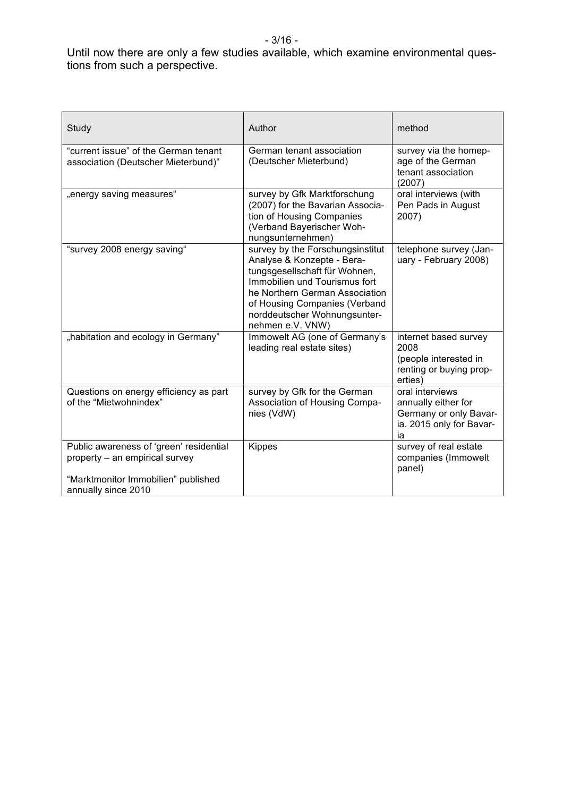- 3/16 -

#### Until now there are only a few studies available, which examine environmental questions from such a perspective.

| Study                                                                                                                                   | Author                                                                                                                                                                                                                                                  | method                                                                                             |
|-----------------------------------------------------------------------------------------------------------------------------------------|---------------------------------------------------------------------------------------------------------------------------------------------------------------------------------------------------------------------------------------------------------|----------------------------------------------------------------------------------------------------|
| "current issue" of the German tenant<br>association (Deutscher Mieterbund)"                                                             | German tenant association<br>(Deutscher Mieterbund)                                                                                                                                                                                                     | survey via the homep-<br>age of the German<br>tenant association<br>(2007)                         |
| "energy saving measures"                                                                                                                | survey by Gfk Marktforschung<br>(2007) for the Bavarian Associa-<br>tion of Housing Companies<br>(Verband Bayerischer Woh-<br>nungsunternehmen)                                                                                                         | oral interviews (with<br>Pen Pads in August<br>2007)                                               |
| "survey 2008 energy saving"                                                                                                             | survey by the Forschungsinstitut<br>Analyse & Konzepte - Bera-<br>tungsgesellschaft für Wohnen,<br>Immobilien und Tourismus fort<br>he Northern German Association<br>of Housing Companies (Verband<br>norddeutscher Wohnungsunter-<br>nehmen e.V. VNW) | telephone survey (Jan-<br>uary - February 2008)                                                    |
| "habitation and ecology in Germany"                                                                                                     | Immowelt AG (one of Germany's<br>leading real estate sites)                                                                                                                                                                                             | internet based survey<br>2008<br>(people interested in<br>renting or buying prop-<br>erties)       |
| Questions on energy efficiency as part<br>of the "Mietwohnindex"                                                                        | survey by Gfk for the German<br>Association of Housing Compa-<br>nies (VdW)                                                                                                                                                                             | oral interviews<br>annually either for<br>Germany or only Bavar-<br>ia. 2015 only for Bavar-<br>iа |
| Public awareness of 'green' residential<br>property - an empirical survey<br>"Marktmonitor Immobilien" published<br>annually since 2010 | <b>Kippes</b>                                                                                                                                                                                                                                           | survey of real estate<br>companies (Immowelt<br>panel)                                             |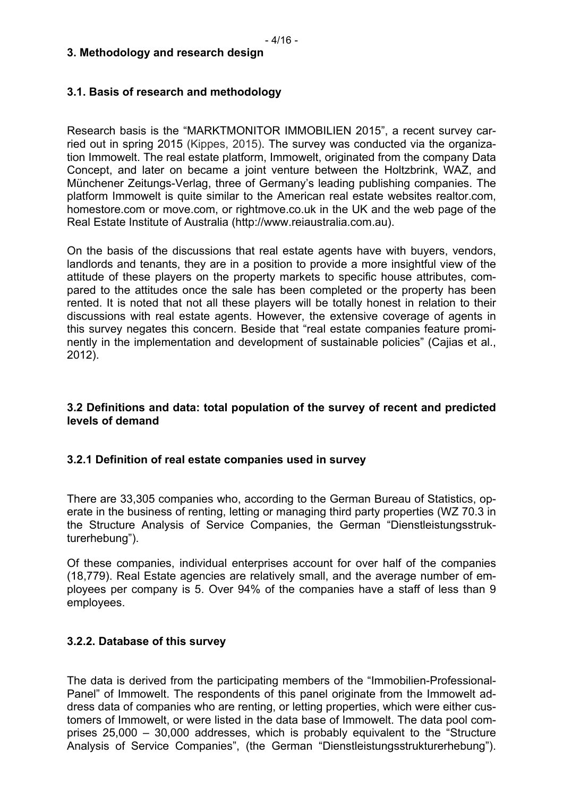#### **3. Methodology and research design**

#### **3.1. Basis of research and methodology**

Research basis is the "MARKTMONITOR IMMOBILIEN 2015", a recent survey carried out in spring 2015 (Kippes, 2015). The survey was conducted via the organization Immowelt. The real estate platform, Immowelt, originated from the company Data Concept, and later on became a joint venture between the Holtzbrink, WAZ, and Münchener Zeitungs-Verlag, three of Germany's leading publishing companies. The platform Immowelt is quite similar to the American real estate websites realtor.com, homestore.com or move.com, or rightmove.co.uk in the UK and the web page of the Real Estate Institute of Australia (http://www.reiaustralia.com.au).

On the basis of the discussions that real estate agents have with buyers, vendors, landlords and tenants, they are in a position to provide a more insightful view of the attitude of these players on the property markets to specific house attributes, compared to the attitudes once the sale has been completed or the property has been rented. It is noted that not all these players will be totally honest in relation to their discussions with real estate agents. However, the extensive coverage of agents in this survey negates this concern. Beside that "real estate companies feature prominently in the implementation and development of sustainable policies" (Cajias et al., 2012).

#### **3.2 Definitions and data: total population of the survey of recent and predicted levels of demand**

#### **3.2.1 Definition of real estate companies used in survey**

There are 33,305 companies who, according to the German Bureau of Statistics, operate in the business of renting, letting or managing third party properties (WZ 70.3 in the Structure Analysis of Service Companies, the German "Dienstleistungsstrukturerhebung").

Of these companies, individual enterprises account for over half of the companies (18,779). Real Estate agencies are relatively small, and the average number of employees per company is 5. Over 94% of the companies have a staff of less than 9 employees.

#### **3.2.2. Database of this survey**

The data is derived from the participating members of the "Immobilien-Professional-Panel" of Immowelt. The respondents of this panel originate from the Immowelt address data of companies who are renting, or letting properties, which were either customers of Immowelt, or were listed in the data base of Immowelt. The data pool comprises 25,000 – 30,000 addresses, which is probably equivalent to the "Structure Analysis of Service Companies", (the German "Dienstleistungsstrukturerhebung").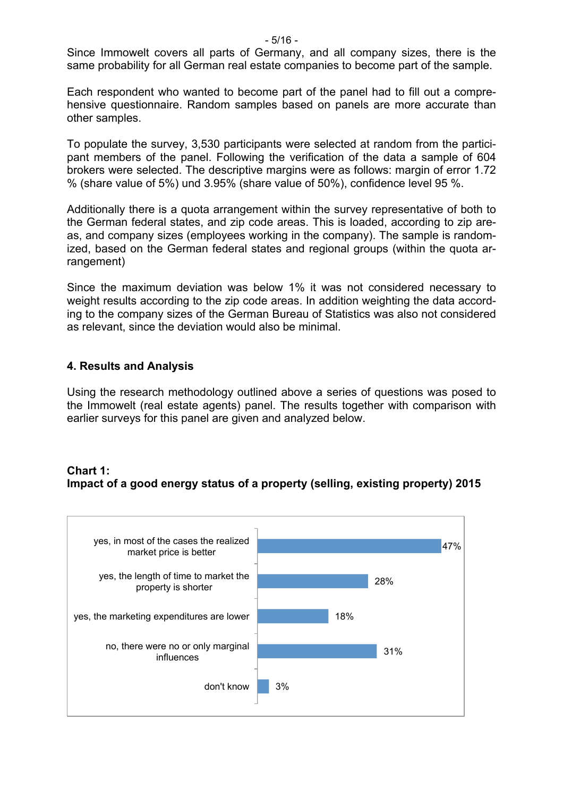$-5/16 -$ 

Since Immowelt covers all parts of Germany, and all company sizes, there is the same probability for all German real estate companies to become part of the sample.

Each respondent who wanted to become part of the panel had to fill out a comprehensive questionnaire. Random samples based on panels are more accurate than other samples.

To populate the survey, 3,530 participants were selected at random from the participant members of the panel. Following the verification of the data a sample of 604 brokers were selected. The descriptive margins were as follows: margin of error 1.72 % (share value of 5%) und 3.95% (share value of 50%), confidence level 95 %.

Additionally there is a quota arrangement within the survey representative of both to the German federal states, and zip code areas. This is loaded, according to zip areas, and company sizes (employees working in the company). The sample is randomized, based on the German federal states and regional groups (within the quota arrangement)

Since the maximum deviation was below 1% it was not considered necessary to weight results according to the zip code areas. In addition weighting the data according to the company sizes of the German Bureau of Statistics was also not considered as relevant, since the deviation would also be minimal.

# **4. Results and Analysis**

Using the research methodology outlined above a series of questions was posed to the Immowelt (real estate agents) panel. The results together with comparison with earlier surveys for this panel are given and analyzed below.

# **Chart 1: Impact of a good energy status of a property (selling, existing property) 2015**

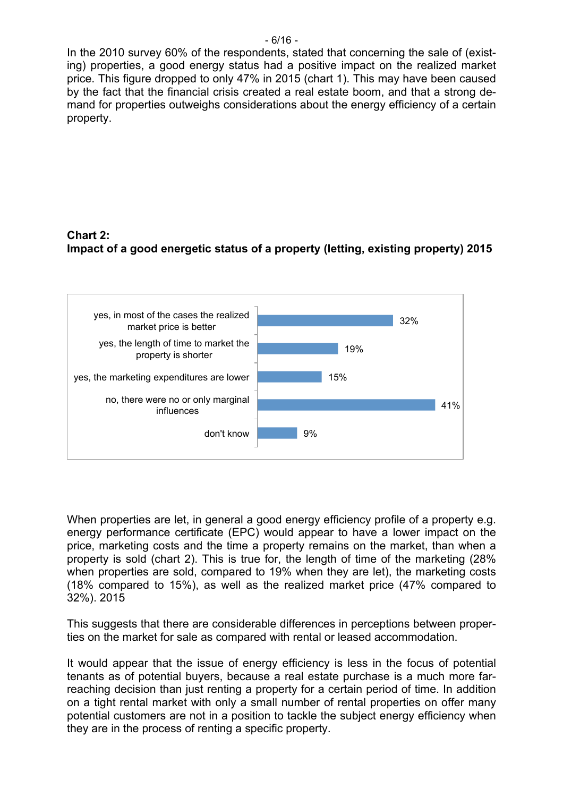In the 2010 survey 60% of the respondents, stated that concerning the sale of (existing) properties, a good energy status had a positive impact on the realized market price. This figure dropped to only 47% in 2015 (chart 1). This may have been caused by the fact that the financial crisis created a real estate boom, and that a strong demand for properties outweighs considerations about the energy efficiency of a certain property.

# **Chart 2: Impact of a good energetic status of a property (letting, existing property) 2015**



When properties are let, in general a good energy efficiency profile of a property e.g. energy performance certificate (EPC) would appear to have a lower impact on the price, marketing costs and the time a property remains on the market, than when a property is sold (chart 2). This is true for, the length of time of the marketing (28% when properties are sold, compared to 19% when they are let), the marketing costs (18% compared to 15%), as well as the realized market price (47% compared to 32%). 2015

This suggests that there are considerable differences in perceptions between properties on the market for sale as compared with rental or leased accommodation.

It would appear that the issue of energy efficiency is less in the focus of potential tenants as of potential buyers, because a real estate purchase is a much more farreaching decision than just renting a property for a certain period of time. In addition on a tight rental market with only a small number of rental properties on offer many potential customers are not in a position to tackle the subject energy efficiency when they are in the process of renting a specific property.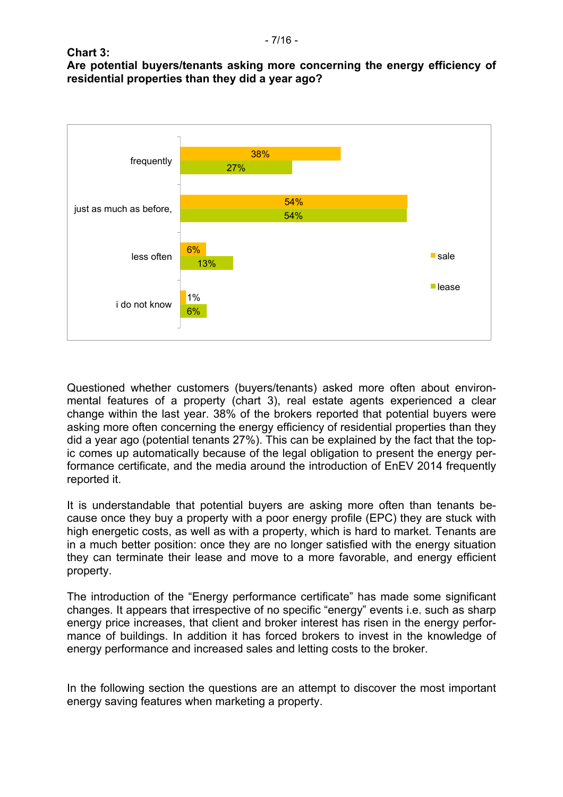**Chart 3:**

**Are potential buyers/tenants asking more concerning the energy efficiency of residential properties than they did a year ago?**



Questioned whether customers (buyers/tenants) asked more often about environmental features of a property (chart 3), real estate agents experienced a clear change within the last year. 38% of the brokers reported that potential buyers were asking more often concerning the energy efficiency of residential properties than they did a year ago (potential tenants 27%). This can be explained by the fact that the topic comes up automatically because of the legal obligation to present the energy performance certificate, and the media around the introduction of EnEV 2014 frequently reported it.

It is understandable that potential buyers are asking more often than tenants because once they buy a property with a poor energy profile (EPC) they are stuck with high energetic costs, as well as with a property, which is hard to market. Tenants are in a much better position: once they are no longer satisfied with the energy situation they can terminate their lease and move to a more favorable, and energy efficient property.

The introduction of the "Energy performance certificate" has made some significant changes. It appears that irrespective of no specific "energy" events i.e. such as sharp energy price increases, that client and broker interest has risen in the energy performance of buildings. In addition it has forced brokers to invest in the knowledge of energy performance and increased sales and letting costs to the broker.

In the following section the questions are an attempt to discover the most important energy saving features when marketing a property.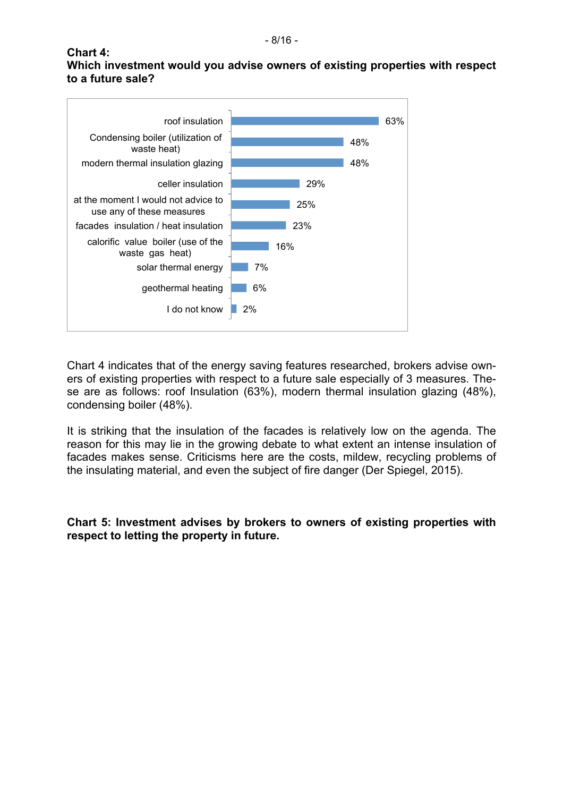#### **Chart 4: Which investment would you advise owners of existing properties with respect to a future sale?**



Chart 4 indicates that of the energy saving features researched, brokers advise owners of existing properties with respect to a future sale especially of 3 measures. These are as follows: roof Insulation (63%), modern thermal insulation glazing (48%), condensing boiler (48%).

It is striking that the insulation of the facades is relatively low on the agenda. The reason for this may lie in the growing debate to what extent an intense insulation of facades makes sense. Criticisms here are the costs, mildew, recycling problems of the insulating material, and even the subject of fire danger (Der Spiegel, 2015).

### **Chart 5: Investment advises by brokers to owners of existing properties with respect to letting the property in future.**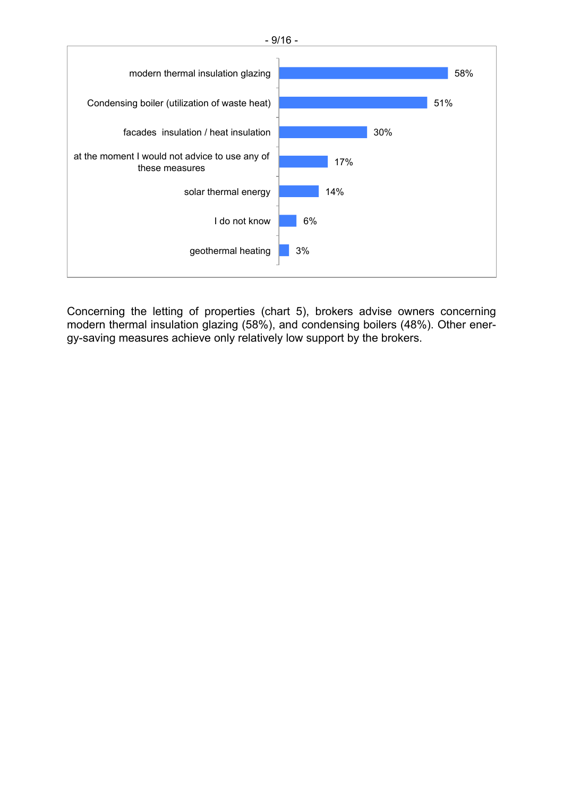

Concerning the letting of properties (chart 5), brokers advise owners concerning modern thermal insulation glazing (58%), and condensing boilers (48%). Other energy-saving measures achieve only relatively low support by the brokers.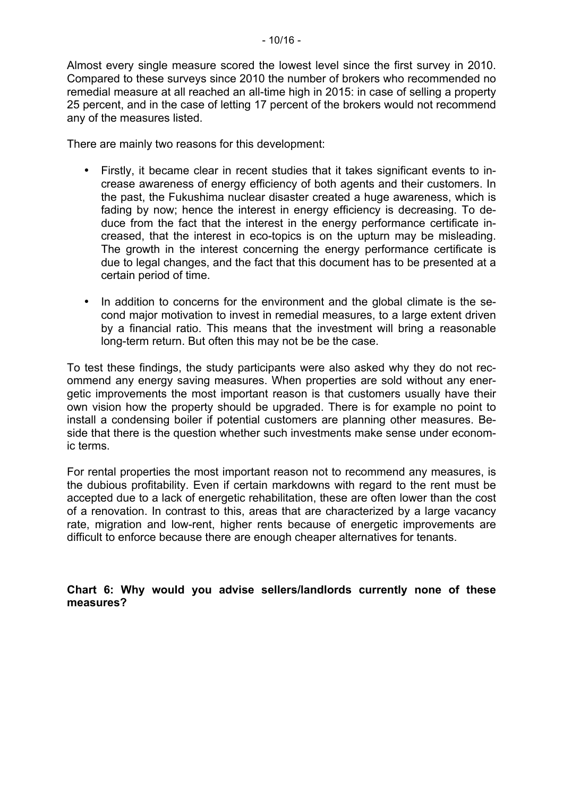Almost every single measure scored the lowest level since the first survey in 2010. Compared to these surveys since 2010 the number of brokers who recommended no remedial measure at all reached an all-time high in 2015: in case of selling a property 25 percent, and in the case of letting 17 percent of the brokers would not recommend any of the measures listed.

There are mainly two reasons for this development:

- Firstly, it became clear in recent studies that it takes significant events to increase awareness of energy efficiency of both agents and their customers. In the past, the Fukushima nuclear disaster created a huge awareness, which is fading by now; hence the interest in energy efficiency is decreasing. To deduce from the fact that the interest in the energy performance certificate increased, that the interest in eco-topics is on the upturn may be misleading. The growth in the interest concerning the energy performance certificate is due to legal changes, and the fact that this document has to be presented at a certain period of time.
- In addition to concerns for the environment and the global climate is the second major motivation to invest in remedial measures, to a large extent driven by a financial ratio. This means that the investment will bring a reasonable long-term return. But often this may not be be the case.

To test these findings, the study participants were also asked why they do not recommend any energy saving measures. When properties are sold without any energetic improvements the most important reason is that customers usually have their own vision how the property should be upgraded. There is for example no point to install a condensing boiler if potential customers are planning other measures. Beside that there is the question whether such investments make sense under economic terms.

For rental properties the most important reason not to recommend any measures, is the dubious profitability. Even if certain markdowns with regard to the rent must be accepted due to a lack of energetic rehabilitation, these are often lower than the cost of a renovation. In contrast to this, areas that are characterized by a large vacancy rate, migration and low-rent, higher rents because of energetic improvements are difficult to enforce because there are enough cheaper alternatives for tenants.

**Chart 6: Why would you advise sellers/landlords currently none of these measures?**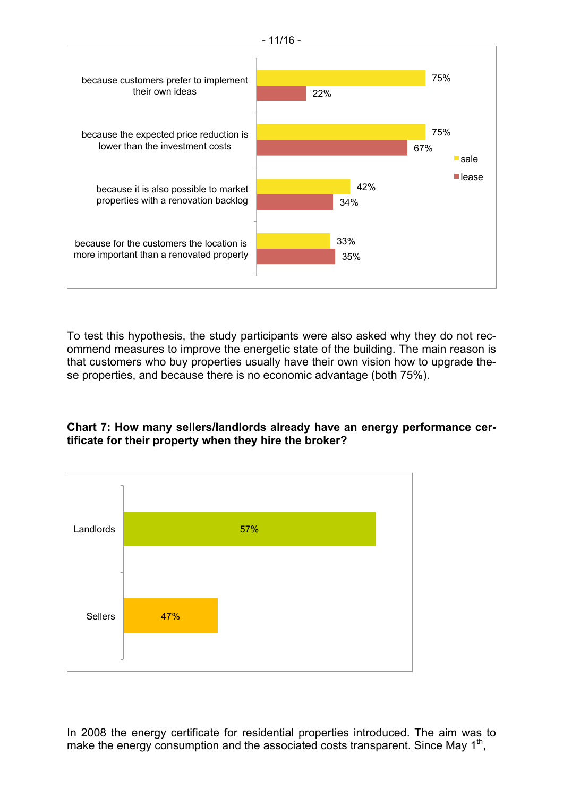

To test this hypothesis, the study participants were also asked why they do not recommend measures to improve the energetic state of the building. The main reason is that customers who buy properties usually have their own vision how to upgrade these properties, and because there is no economic advantage (both 75%).





In 2008 the energy certificate for residential properties introduced. The aim was to make the energy consumption and the associated costs transparent. Since May  $1<sup>th</sup>$ ,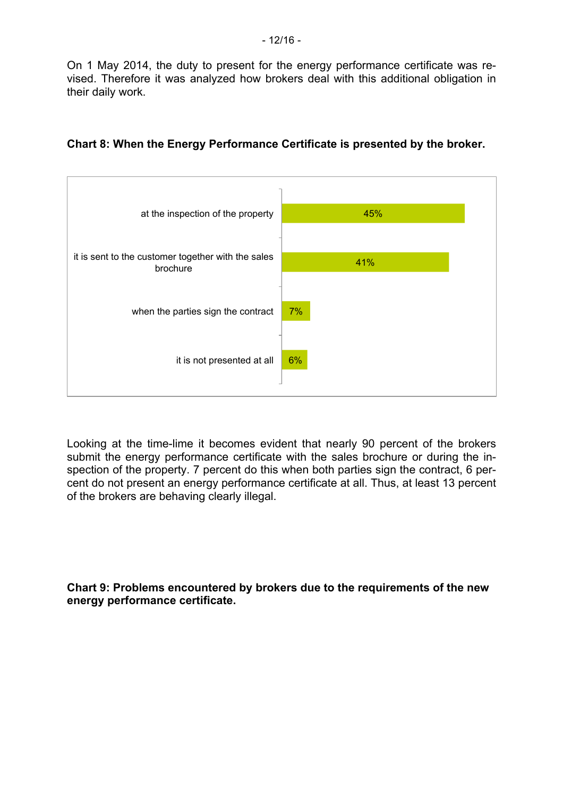On 1 May 2014, the duty to present for the energy performance certificate was revised. Therefore it was analyzed how brokers deal with this additional obligation in their daily work.

| 45% |
|-----|
| 41% |
| 7%  |
| 6%  |
|     |

### **Chart 8: When the Energy Performance Certificate is presented by the broker.**

Looking at the time-lime it becomes evident that nearly 90 percent of the brokers submit the energy performance certificate with the sales brochure or during the inspection of the property. 7 percent do this when both parties sign the contract, 6 percent do not present an energy performance certificate at all. Thus, at least 13 percent of the brokers are behaving clearly illegal.

**Chart 9: Problems encountered by brokers due to the requirements of the new energy performance certificate.**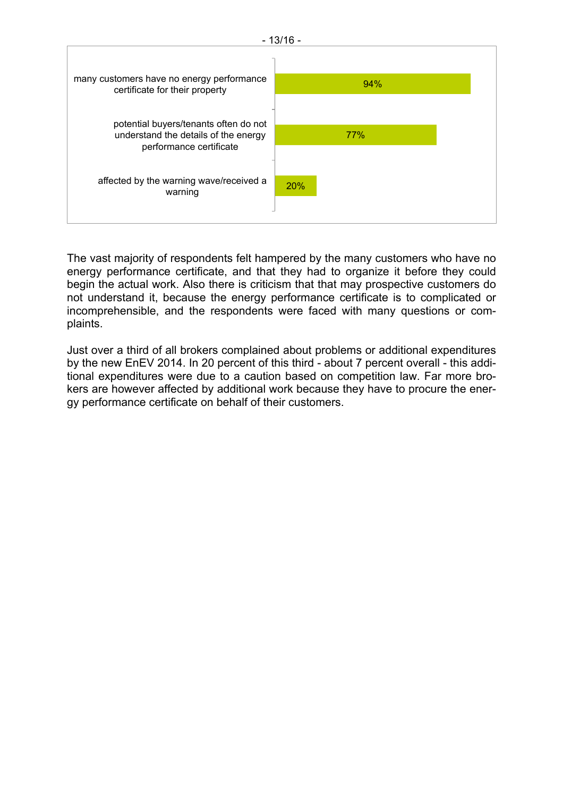

The vast majority of respondents felt hampered by the many customers who have no energy performance certificate, and that they had to organize it before they could begin the actual work. Also there is criticism that that may prospective customers do not understand it, because the energy performance certificate is to complicated or incomprehensible, and the respondents were faced with many questions or complaints.

Just over a third of all brokers complained about problems or additional expenditures by the new EnEV 2014. In 20 percent of this third - about 7 percent overall - this additional expenditures were due to a caution based on competition law. Far more brokers are however affected by additional work because they have to procure the energy performance certificate on behalf of their customers.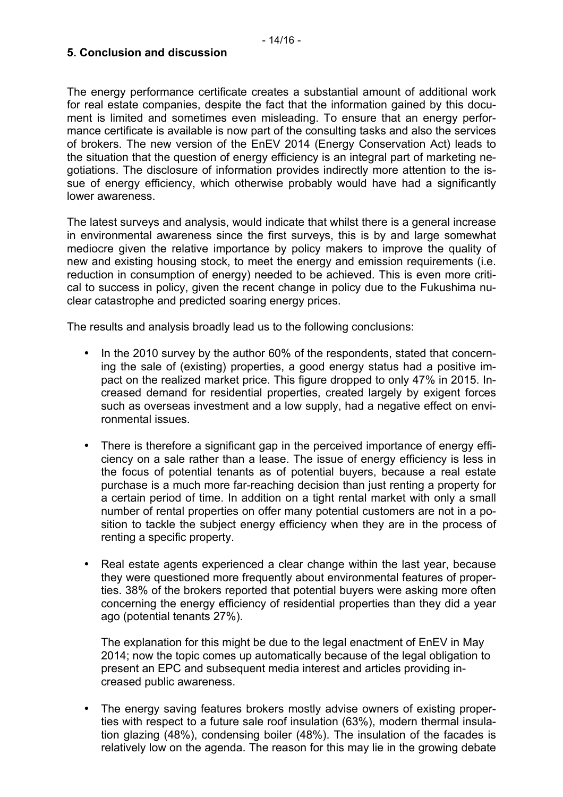#### **5. Conclusion and discussion**

The energy performance certificate creates a substantial amount of additional work for real estate companies, despite the fact that the information gained by this document is limited and sometimes even misleading. To ensure that an energy performance certificate is available is now part of the consulting tasks and also the services of brokers. The new version of the EnEV 2014 (Energy Conservation Act) leads to the situation that the question of energy efficiency is an integral part of marketing negotiations. The disclosure of information provides indirectly more attention to the issue of energy efficiency, which otherwise probably would have had a significantly lower awareness.

The latest surveys and analysis, would indicate that whilst there is a general increase in environmental awareness since the first surveys, this is by and large somewhat mediocre given the relative importance by policy makers to improve the quality of new and existing housing stock, to meet the energy and emission requirements (i.e. reduction in consumption of energy) needed to be achieved. This is even more critical to success in policy, given the recent change in policy due to the Fukushima nuclear catastrophe and predicted soaring energy prices.

The results and analysis broadly lead us to the following conclusions:

- In the 2010 survey by the author 60% of the respondents, stated that concerning the sale of (existing) properties, a good energy status had a positive impact on the realized market price. This figure dropped to only 47% in 2015. Increased demand for residential properties, created largely by exigent forces such as overseas investment and a low supply, had a negative effect on environmental issues.
- There is therefore a significant gap in the perceived importance of energy efficiency on a sale rather than a lease. The issue of energy efficiency is less in the focus of potential tenants as of potential buyers, because a real estate purchase is a much more far-reaching decision than just renting a property for a certain period of time. In addition on a tight rental market with only a small number of rental properties on offer many potential customers are not in a position to tackle the subject energy efficiency when they are in the process of renting a specific property.
- Real estate agents experienced a clear change within the last year, because they were questioned more frequently about environmental features of properties. 38% of the brokers reported that potential buyers were asking more often concerning the energy efficiency of residential properties than they did a year ago (potential tenants 27%).

The explanation for this might be due to the legal enactment of EnEV in May 2014; now the topic comes up automatically because of the legal obligation to present an EPC and subsequent media interest and articles providing increased public awareness.

• The energy saving features brokers mostly advise owners of existing properties with respect to a future sale roof insulation (63%), modern thermal insulation glazing (48%), condensing boiler (48%). The insulation of the facades is relatively low on the agenda. The reason for this may lie in the growing debate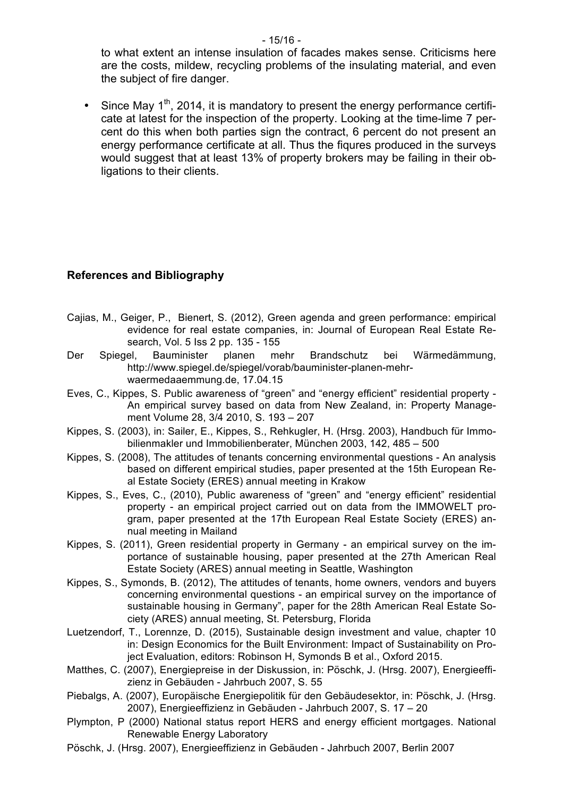to what extent an intense insulation of facades makes sense. Criticisms here are the costs, mildew, recycling problems of the insulating material, and even the subject of fire danger.

Since May  $1<sup>th</sup>$ , 2014, it is mandatory to present the energy performance certificate at latest for the inspection of the property. Looking at the time-lime 7 percent do this when both parties sign the contract, 6 percent do not present an energy performance certificate at all. Thus the fiqures produced in the surveys would suggest that at least 13% of property brokers may be failing in their obligations to their clients.

### **References and Bibliography**

- Cajias, M., Geiger, P., Bienert, S. (2012), Green agenda and green performance: empirical evidence for real estate companies, in: Journal of European Real Estate Research, Vol. 5 Iss 2 pp. 135 - 155
- Der Spiegel, Bauminister planen mehr Brandschutz bei Wärmedämmung, http://www.spiegel.de/spiegel/vorab/bauminister-planen-mehrwaermedaaemmung.de, 17.04.15
- Eves, C., Kippes, S. Public awareness of "green" and "energy efficient" residential property An empirical survey based on data from New Zealand, in: Property Management Volume 28, 3/4 2010, S. 193 – 207
- Kippes, S. (2003), in: Sailer, E., Kippes, S., Rehkugler, H. (Hrsg. 2003), Handbuch für Immobilienmakler und Immobilienberater, München 2003, 142, 485 – 500
- Kippes, S. (2008), The attitudes of tenants concerning environmental questions An analysis based on different empirical studies, paper presented at the 15th European Real Estate Society (ERES) annual meeting in Krakow
- Kippes, S., Eves, C., (2010), Public awareness of "green" and "energy efficient" residential property - an empirical project carried out on data from the IMMOWELT program, paper presented at the 17th European Real Estate Society (ERES) annual meeting in Mailand
- Kippes, S. (2011), Green residential property in Germany an empirical survey on the importance of sustainable housing, paper presented at the 27th American Real Estate Society (ARES) annual meeting in Seattle, Washington
- Kippes, S., Symonds, B. (2012), The attitudes of tenants, home owners, vendors and buyers concerning environmental questions - an empirical survey on the importance of sustainable housing in Germany", paper for the 28th American Real Estate Society (ARES) annual meeting, St. Petersburg, Florida
- Luetzendorf, T., Lorennze, D. (2015), Sustainable design investment and value, chapter 10 in: Design Economics for the Built Environment: Impact of Sustainability on Project Evaluation, editors: Robinson H, Symonds B et al., Oxford 2015.
- Matthes, C. (2007), Energiepreise in der Diskussion, in: Pöschk, J. (Hrsg. 2007), Energieeffizienz in Gebäuden - Jahrbuch 2007, S. 55
- Piebalgs, A. (2007), Europäische Energiepolitik für den Gebäudesektor, in: Pöschk, J. (Hrsg. 2007), Energieeffizienz in Gebäuden - Jahrbuch 2007, S. 17 – 20
- Plympton, P (2000) National status report HERS and energy efficient mortgages. National Renewable Energy Laboratory
- Pöschk, J. (Hrsg. 2007), Energieeffizienz in Gebäuden Jahrbuch 2007, Berlin 2007